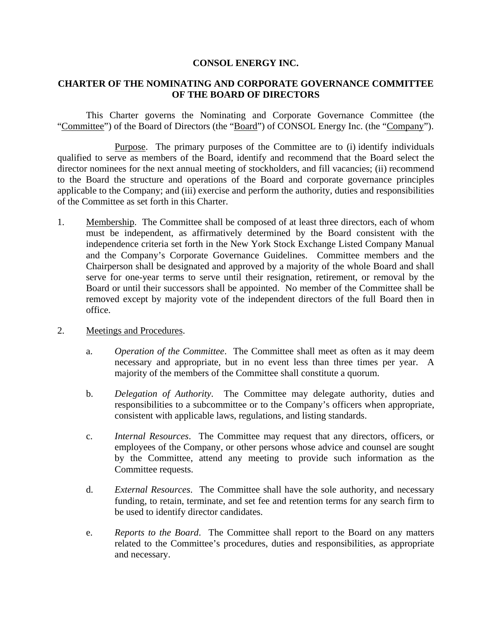## **CONSOL ENERGY INC.**

## **CHARTER OF THE NOMINATING AND CORPORATE GOVERNANCE COMMITTEE OF THE BOARD OF DIRECTORS**

This Charter governs the Nominating and Corporate Governance Committee (the "Committee") of the Board of Directors (the "Board") of CONSOL Energy Inc. (the "Company").

Purpose. The primary purposes of the Committee are to (i) identify individuals qualified to serve as members of the Board, identify and recommend that the Board select the director nominees for the next annual meeting of stockholders, and fill vacancies; (ii) recommend to the Board the structure and operations of the Board and corporate governance principles applicable to the Company; and (iii) exercise and perform the authority, duties and responsibilities of the Committee as set forth in this Charter.

- 1. Membership. The Committee shall be composed of at least three directors, each of whom must be independent, as affirmatively determined by the Board consistent with the independence criteria set forth in the New York Stock Exchange Listed Company Manual and the Company's Corporate Governance Guidelines. Committee members and the Chairperson shall be designated and approved by a majority of the whole Board and shall serve for one-year terms to serve until their resignation, retirement, or removal by the Board or until their successors shall be appointed. No member of the Committee shall be removed except by majority vote of the independent directors of the full Board then in office.
- 2. Meetings and Procedures.
	- a. *Operation of the Committee*. The Committee shall meet as often as it may deem necessary and appropriate, but in no event less than three times per year. A majority of the members of the Committee shall constitute a quorum.
	- b. *Delegation of Authority*. The Committee may delegate authority, duties and responsibilities to a subcommittee or to the Company's officers when appropriate, consistent with applicable laws, regulations, and listing standards.
	- c. *Internal Resources*. The Committee may request that any directors, officers, or employees of the Company, or other persons whose advice and counsel are sought by the Committee, attend any meeting to provide such information as the Committee requests.
	- d. *External Resources*. The Committee shall have the sole authority, and necessary funding, to retain, terminate, and set fee and retention terms for any search firm to be used to identify director candidates.
	- e. *Reports to the Board*. The Committee shall report to the Board on any matters related to the Committee's procedures, duties and responsibilities, as appropriate and necessary.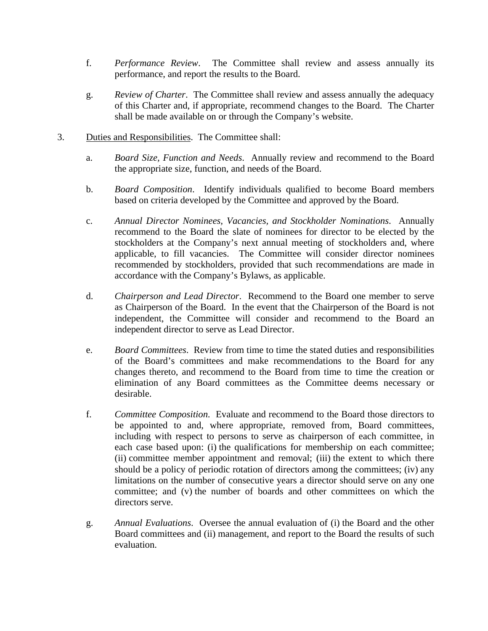- f. *Performance Review*. The Committee shall review and assess annually its performance, and report the results to the Board.
- g. *Review of Charter*. The Committee shall review and assess annually the adequacy of this Charter and, if appropriate, recommend changes to the Board. The Charter shall be made available on or through the Company's website.
- 3. Duties and Responsibilities. The Committee shall:
	- a. *Board Size, Function and Needs*. Annually review and recommend to the Board the appropriate size, function, and needs of the Board.
	- b. *Board Composition*. Identify individuals qualified to become Board members based on criteria developed by the Committee and approved by the Board.
	- c. *Annual Director Nominees, Vacancies, and Stockholder Nominations*. Annually recommend to the Board the slate of nominees for director to be elected by the stockholders at the Company's next annual meeting of stockholders and, where applicable, to fill vacancies. The Committee will consider director nominees recommended by stockholders, provided that such recommendations are made in accordance with the Company's Bylaws, as applicable.
	- d. *Chairperson and Lead Director*. Recommend to the Board one member to serve as Chairperson of the Board. In the event that the Chairperson of the Board is not independent, the Committee will consider and recommend to the Board an independent director to serve as Lead Director.
	- e. *Board Committees*. Review from time to time the stated duties and responsibilities of the Board's committees and make recommendations to the Board for any changes thereto, and recommend to the Board from time to time the creation or elimination of any Board committees as the Committee deems necessary or desirable.
	- f. *Committee Composition*. Evaluate and recommend to the Board those directors to be appointed to and, where appropriate, removed from, Board committees, including with respect to persons to serve as chairperson of each committee, in each case based upon: (i) the qualifications for membership on each committee; (ii) committee member appointment and removal; (iii) the extent to which there should be a policy of periodic rotation of directors among the committees; (iv) any limitations on the number of consecutive years a director should serve on any one committee; and (v) the number of boards and other committees on which the directors serve.
	- g. *Annual Evaluations*. Oversee the annual evaluation of (i) the Board and the other Board committees and (ii) management, and report to the Board the results of such evaluation.